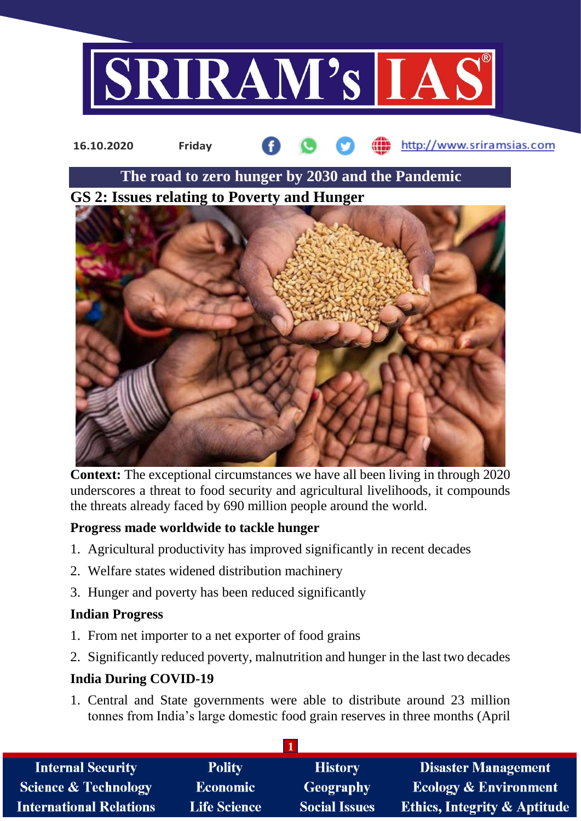



**Context:** The exceptional circumstances we have all been living in through 2020 underscores a threat to food security and agricultural livelihoods, it compounds the threats already faced by 690 million people around the world.

### **Progress made worldwide to tackle hunger**

- 1. Agricultural productivity has improved significantly in recent decades
- 2. Welfare states widened distribution machinery
- 3. Hunger and poverty has been reduced significantly

#### **Indian Progress**

- 1. From net importer to a net exporter of food grains
- 2. Significantly reduced poverty, malnutrition and hunger in the last two decades

### **India During COVID-19**

1. Central and State governments were able to distribute around 23 million tonnes from India's large domestic food grain reserves in three months (April

| <b>Internal Security</b>        | <b>Polity</b>       | <b>History</b>       | <b>Disaster Management</b>              |
|---------------------------------|---------------------|----------------------|-----------------------------------------|
| <b>Science &amp; Technology</b> | <b>Economic</b>     | Geography            | <b>Ecology &amp; Environment</b>        |
| <b>International Relations</b>  | <b>Life Science</b> | <b>Social Issues</b> | <b>Ethics, Integrity &amp; Aptitude</b> |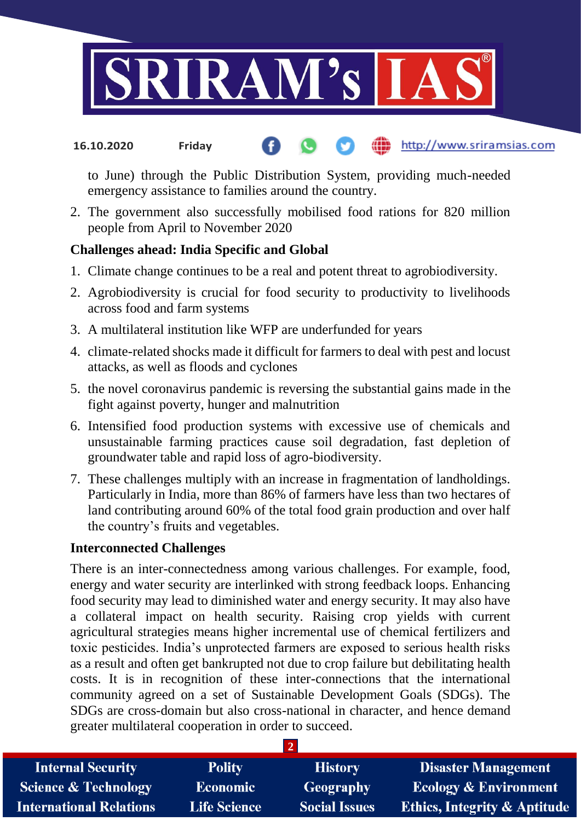

#### http://www.sriramsias.com **16.10.2020 Friday**

to June) through the Public Distribution System, providing much-needed emergency assistance to families around the country.

2. The government also successfully mobilised food rations for 820 million people from April to November 2020

#### **Challenges ahead: India Specific and Global**

- 1. Climate change continues to be a real and potent threat to agrobiodiversity.
- 2. Agrobiodiversity is crucial for food security to productivity to livelihoods across food and farm systems
- 3. A multilateral institution like WFP are underfunded for years
- 4. climate-related shocks made it difficult for farmers to deal with pest and locust attacks, as well as floods and cyclones
- 5. the novel coronavirus pandemic is reversing the substantial gains made in the fight against poverty, hunger and malnutrition
- 6. Intensified food production systems with excessive use of chemicals and unsustainable farming practices cause soil degradation, fast depletion of groundwater table and rapid loss of agro-biodiversity.
- 7. These challenges multiply with an increase in fragmentation of landholdings. Particularly in India, more than 86% of farmers have less than two hectares of land contributing around 60% of the total food grain production and over half the country's fruits and vegetables.

#### **Interconnected Challenges**

There is an inter-connectedness among various challenges. For example, food, energy and water security are interlinked with strong feedback loops. Enhancing food security may lead to diminished water and energy security. It may also have a collateral impact on health security. Raising crop yields with current agricultural strategies means higher incremental use of chemical fertilizers and toxic pesticides. India's unprotected farmers are exposed to serious health risks as a result and often get bankrupted not due to crop failure but debilitating health costs. It is in recognition of these inter-connections that the international community agreed on a set of Sustainable Development Goals (SDGs). The SDGs are cross-domain but also cross-national in character, and hence demand greater multilateral cooperation in order to succeed.

| <b>Internal Security</b>        | <b>Polity</b>       | <b>History</b>       | <b>Disaster Management</b>              |
|---------------------------------|---------------------|----------------------|-----------------------------------------|
| <b>Science &amp; Technology</b> | <b>Economic</b>     | Geography            | <b>Ecology &amp; Environment</b>        |
| <b>International Relations</b>  | <b>Life Science</b> | <b>Social Issues</b> | <b>Ethics, Integrity &amp; Aptitude</b> |

**2**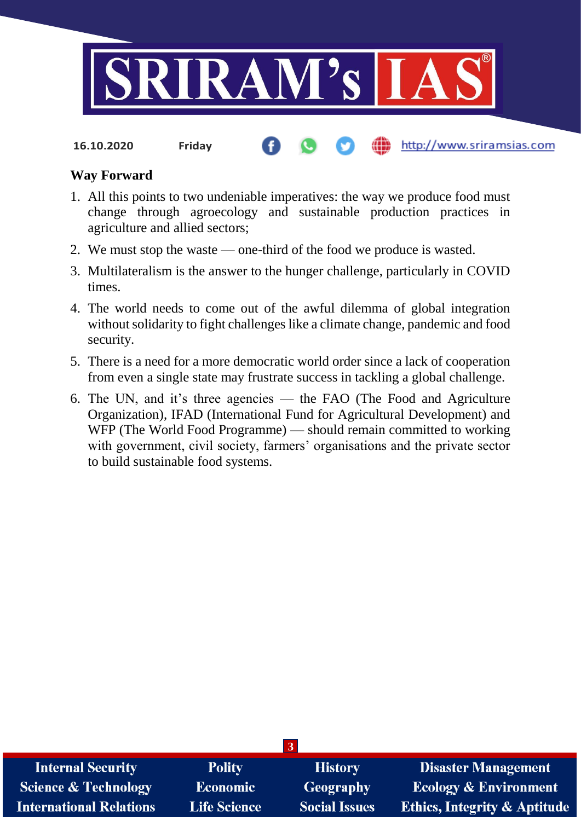

**16.10.2020 Friday**

#### http://www.sriramsias.com

#### **Way Forward**

- 1. All this points to two undeniable imperatives: the way we produce food must change through agroecology and sustainable production practices in agriculture and allied sectors;
- 2. We must stop the waste one-third of the food we produce is wasted.
- 3. Multilateralism is the answer to the hunger challenge, particularly in COVID times.
- 4. The world needs to come out of the awful dilemma of global integration without solidarity to fight challenges like a climate change, pandemic and food security.
- 5. There is a need for a more democratic world order since a lack of cooperation from even a single state may frustrate success in tackling a global challenge.
- 6. The UN, and it's three agencies the FAO (The Food and Agriculture Organization), IFAD (International Fund for Agricultural Development) and WFP (The World Food Programme) — should remain committed to working with government, civil society, farmers' organisations and the private sector to build sustainable food systems.

| <b>Internal Security</b>        | <b>Polity</b>       | <b>History</b>       | <b>Disaster Management</b>              |
|---------------------------------|---------------------|----------------------|-----------------------------------------|
| <b>Science &amp; Technology</b> | <b>Economic</b>     | Geography            | <b>Ecology &amp; Environment</b>        |
| <b>International Relations</b>  | <b>Life Science</b> | <b>Social Issues</b> | <b>Ethics, Integrity &amp; Aptitude</b> |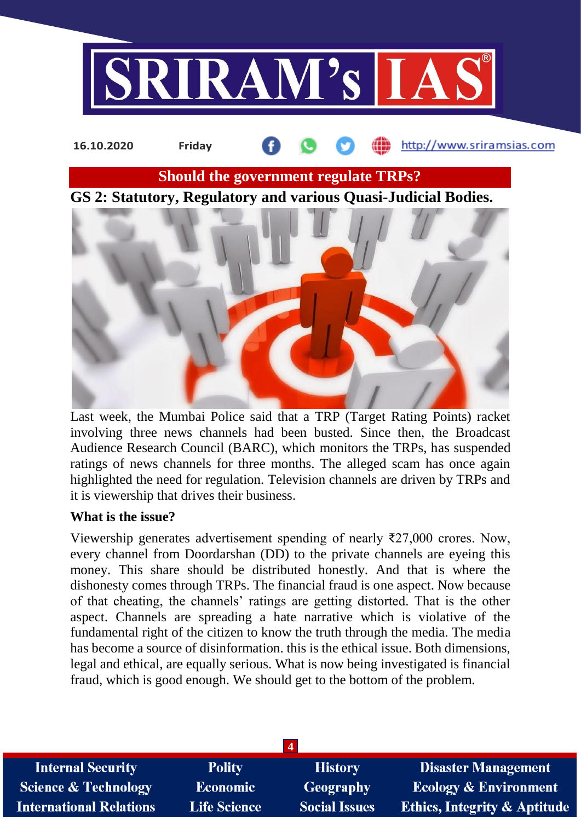

# http://www.sriramsias.com **16.10.2020 Friday Should the government regulate TRPs? GS 2: Statutory, Regulatory and various Quasi-Judicial Bodies.**

Last week, the Mumbai Police said that a TRP (Target Rating Points) racket involving three news channels had been busted. Since then, the Broadcast Audience Research Council (BARC), which monitors the TRPs, has suspended ratings of news channels for three months. The alleged scam has once again highlighted the need for regulation. Television channels are driven by TRPs and it is viewership that drives their business.

#### **What is the issue?**

Viewership generates advertisement spending of nearly ₹27,000 crores. Now, every channel from Doordarshan (DD) to the private channels are eyeing this money. This share should be distributed honestly. And that is where the dishonesty comes through TRPs. The financial fraud is one aspect. Now because of that cheating, the channels' ratings are getting distorted. That is the other aspect. Channels are spreading a hate narrative which is violative of the fundamental right of the citizen to know the truth through the media. The media has become a source of disinformation. this is the ethical issue. Both dimensions, legal and ethical, are equally serious. What is now being investigated is financial fraud, which is good enough. We should get to the bottom of the problem.

| <b>Internal Security</b>        | <b>Polity</b>       | <b>History</b>       | <b>Disaster Management</b>              |
|---------------------------------|---------------------|----------------------|-----------------------------------------|
| <b>Science &amp; Technology</b> | Economic            | Geography            | <b>Ecology &amp; Environment</b>        |
| <b>International Relations</b>  | <b>Life Science</b> | <b>Social Issues</b> | <b>Ethics, Integrity &amp; Aptitude</b> |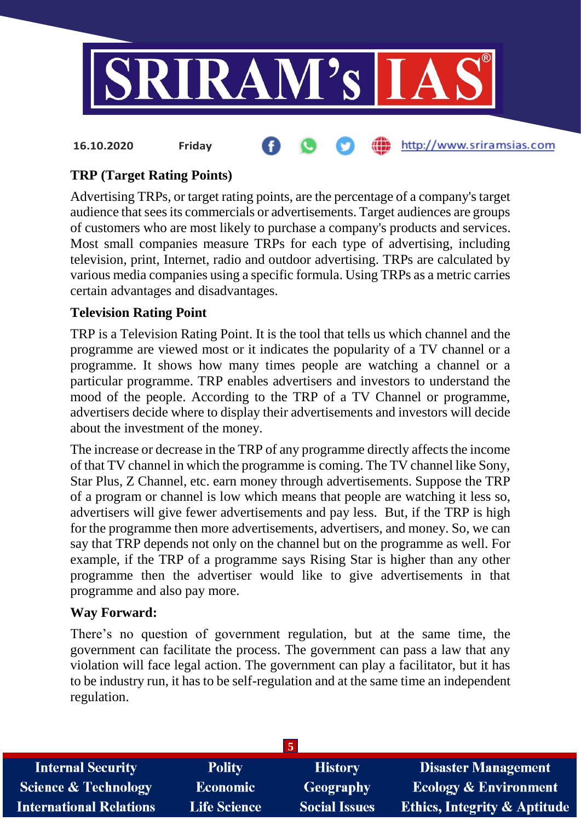

## **TRP (Target Rating Points)**

Advertising TRPs, or target rating points, are the percentage of a company's target audience that sees its commercials or advertisements. Target audiences are groups of customers who are most likely to purchase a company's products and services. Most small companies measure TRPs for each type of advertising, including television, print, Internet, radio and outdoor advertising. TRPs are calculated by various media companies using a specific formula. Using TRPs as a metric carries certain advantages and disadvantages.

#### **Television Rating Point**

TRP is a Television Rating Point. It is the tool that tells us which channel and the programme are viewed most or it indicates the popularity of a TV channel or a programme. It shows how many times people are watching a channel or a particular programme. TRP enables advertisers and investors to understand the mood of the people. According to the TRP of a TV Channel or programme, advertisers decide where to display their advertisements and investors will decide about the investment of the money.

The increase or decrease in the TRP of any programme directly affects the income of that TV channel in which the programme is coming. The TV channel like Sony, Star Plus, Z Channel, etc. earn money through advertisements. Suppose the TRP of a program or channel is low which means that people are watching it less so, advertisers will give fewer advertisements and pay less. But, if the TRP is high for the programme then more advertisements, advertisers, and money. So, we can say that TRP depends not only on the channel but on the programme as well. For example, if the TRP of a programme says Rising Star is higher than any other programme then the advertiser would like to give advertisements in that programme and also pay more.

#### **Way Forward:**

There's no question of government regulation, but at the same time, the government can facilitate the process. The government can pass a law that any violation will face legal action. The government can play a facilitator, but it has to be industry run, it has to be self-regulation and at the same time an independent regulation.

| <b>Internal Security</b>        | <b>Polity</b>       | <b>History</b>       | <b>Disaster Management</b>              |
|---------------------------------|---------------------|----------------------|-----------------------------------------|
| <b>Science &amp; Technology</b> | <b>Economic</b>     | <b>Geography</b>     | <b>Ecology &amp; Environment</b>        |
| <b>International Relations</b>  | <b>Life Science</b> | <b>Social Issues</b> | <b>Ethics, Integrity &amp; Aptitude</b> |